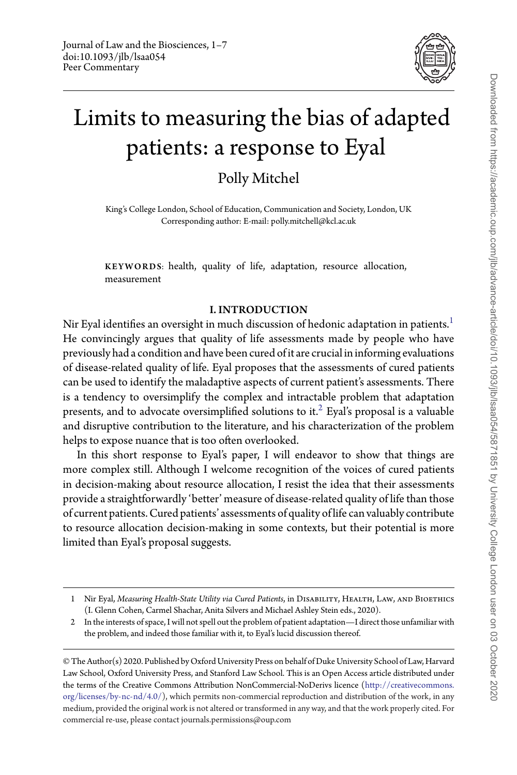

## Limits to measuring the bias of adapted patients: a response to Eyal

Polly Mitchel

King's College London, School of Education, Communication and Society, London, UK Corresponding author: E-mail: polly.mitchell@kcl.ac.uk

KEYWORDS: health, quality of life, adaptation, resource allocation, measurement

## I. INTRODUCTION

Nir Eyal identifies an oversight in much discussion of hedonic adaptation in patients.<sup>[1](#page-0-0)</sup> He convincingly argues that quality of life assessments made by people who have previously had a condition and have been cured of it are crucial in informing evaluations of disease-related quality of life. Eyal proposes that the assessments of cured patients can be used to identify the maladaptive aspects of current patient's assessments. There is a tendency to oversimplify the complex and intractable problem that adaptation presents, and to advocate oversimplified solutions to it.<sup>2</sup> Eyal's proposal is a valuable and disruptive contribution to the literature, and his characterization of the problem helps to expose nuance that is too often overlooked.

In this short response to Eyal's paper, I will endeavor to show that things are more complex still. Although I welcome recognition of the voices of cured patients in decision-making about resource allocation, I resist the idea that their assessments provide a straightforwardly 'better' measure of disease-related quality of life than those of current patients. Cured patients' assessments of quality of life can valuably contribute to resource allocation decision-making in some contexts, but their potential is more limited than Eyal's proposal suggests.

<span id="page-0-0"></span><sup>1</sup> Nir Eyal, *Measuring Health-State Utility via Cured Patients*, in Disability, Health, Law, and Bioethics (I. Glenn Cohen, Carmel Shachar, Anita Silvers and Michael Ashley Stein eds., 2020).

<span id="page-0-1"></span><sup>2</sup> In the interests of space, I will not spell out the problem of patient adaptation—I direct those unfamiliar with the problem, and indeed those familiar with it, to Eyal's lucid discussion thereof.

<sup>©</sup> The Author(s) 2020. Published by Oxford University Press on behalf of Duke University School of Law, Harvard Law School, Oxford University Press, and Stanford Law School. This is an Open Access article distributed under the terms of the Creative Commons Attribution NonCommercial-NoDerivs licence [\(http://creativecommons.](http://creativecommons.org/licenses/by-nc-nd/4.0/) [org/licenses/by-nc-nd/4.0/\)](http://creativecommons.org/licenses/by-nc-nd/4.0/), which permits non-commercial reproduction and distribution of the work, in any medium, provided the original work is not altered or transformed in any way, and that the work properly cited. For commercial re-use, please contact journals.permissions@oup.com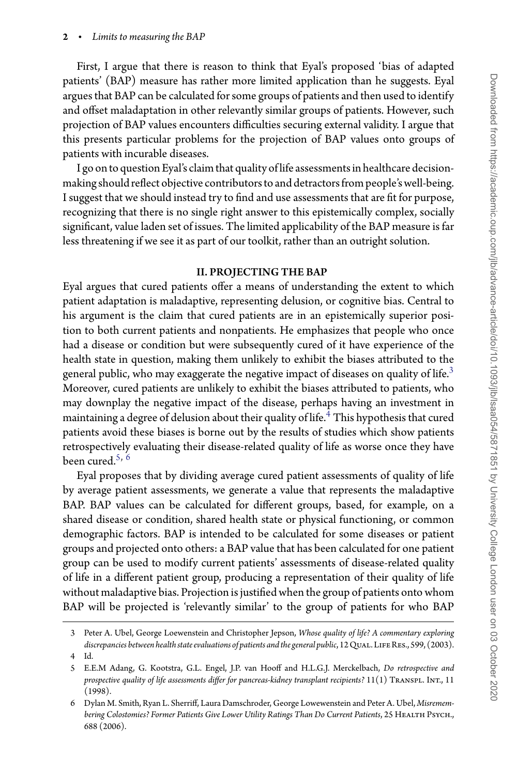First, I argue that there is reason to think that Eyal's proposed 'bias of adapted patients' (BAP) measure has rather more limited application than he suggests. Eyal argues that BAP can be calculated for some groups of patients and then used to identify and offset maladaptation in other relevantly similar groups of patients. However, such projection of BAP values encounters difficulties securing external validity. I argue that this presents particular problems for the projection of BAP values onto groups of patients with incurable diseases.

I go on to question Eyal's claim that quality of life assessments in healthcare decisionmaking should reflect objective contributorsto and detractorsfrom people's well-being. I suggest that we should instead try to find and use assessments that are fit for purpose, recognizing that there is no single right answer to this epistemically complex, socially significant, value laden set of issues. The limited applicability of the BAP measure is far less threatening if we see it as part of our toolkit, rather than an outright solution.

## II. PROJECTING THE BAP

Eyal argues that cured patients offer a means of understanding the extent to which patient adaptation is maladaptive, representing delusion, or cognitive bias. Central to his argument is the claim that cured patients are in an epistemically superior position to both current patients and nonpatients. He emphasizes that people who once had a disease or condition but were subsequently cured of it have experience of the health state in question, making them unlikely to exhibit the biases attributed to the general public, who may exaggerate the negative impact of diseases on quality of life.<sup>3</sup> Moreover, cured patients are unlikely to exhibit the biases attributed to patients, who may downplay the negative impact of the disease, perhaps having an investment in maintaining a degree of delusion about their quality of life.<sup>4</sup> This hypothesis that cured patients avoid these biases is borne out by the results of studies which show patients retrospectively evaluating their disease-related quality of life as worse once they have been cured. $5, 6$  $5, 6$  $5, 6$ 

Eyal proposes that by dividing average cured patient assessments of quality of life by average patient assessments, we generate a value that represents the maladaptive BAP. BAP values can be calculated for different groups, based, for example, on a shared disease or condition, shared health state or physical functioning, or common demographic factors. BAP is intended to be calculated for some diseases or patient groups and projected onto others: a BAP value that has been calculated for one patient group can be used to modify current patients' assessments of disease-related quality of life in a different patient group, producing a representation of their quality of life without maladaptive bias. Projection is justified when the group of patients onto whom BAP will be projected is 'relevantly similar' to the group of patients for who BAP

<span id="page-1-0"></span><sup>3</sup> Peter A. Ubel, George Loewenstein and Christopher Jepson, *Whose quality of life? A commentary exploring* discrepancies between health state evaluations of patients and the general public, 12 Qual. LIFE RES., 599, (2003).

<sup>4</sup> Id.

<span id="page-1-2"></span><span id="page-1-1"></span><sup>5</sup> E.E.M Adang, G. Kootstra, G.L. Engel, J.P. van Hooff and H.L.G.J. Merckelbach, *Do retrospective and prospective quality of life assessments differ for pancreas-kidney transplant recipients?* 11(1) Transpl. Int., 11 (1998).

<span id="page-1-3"></span><sup>6</sup> Dylan M. Smith, Ryan L. Sherriff, Laura Damschroder, George Lowewenstein and Peter A. Ubel, *Misremem*bering Colostomies? Former Patients Give Lower Utility Ratings Than Do Current Patients, 25 HEALTH PsycH., 688 (2006).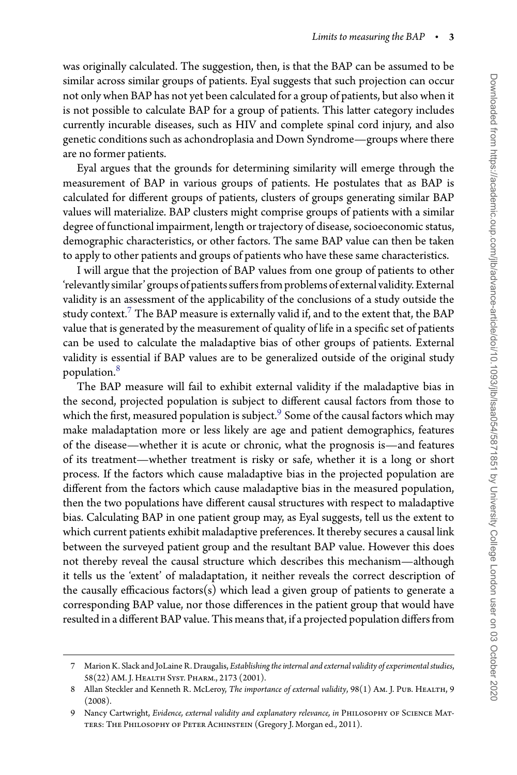was originally calculated. The suggestion, then, is that the BAP can be assumed to be similar across similar groups of patients. Eyal suggests that such projection can occur not only when BAP has not yet been calculated for a group of patients, but also when it is not possible to calculate BAP for a group of patients. This latter category includes currently incurable diseases, such as HIV and complete spinal cord injury, and also genetic conditions such as achondroplasia and Down Syndrome—groups where there are no former patients.

Eyal argues that the grounds for determining similarity will emerge through the measurement of BAP in various groups of patients. He postulates that as BAP is calculated for different groups of patients, clusters of groups generating similar BAP values will materialize. BAP clusters might comprise groups of patients with a similar degree of functional impairment, length or trajectory of disease, socioeconomic status, demographic characteristics, or other factors. The same BAP value can then be taken to apply to other patients and groups of patients who have these same characteristics.

I will argue that the projection of BAP values from one group of patients to other 'relevantly similar' groups of patients suffers from problems of external validity. External validity is an assessment of the applicability of the conclusions of a study outside the study context. $7$  The BAP measure is externally valid if, and to the extent that, the BAP value that is generated by the measurement of quality of life in a specific set of patients can be used to calculate the maladaptive bias of other groups of patients. External validity is essential if BAP values are to be generalized outside of the original study population.[8](#page-2-1)

The BAP measure will fail to exhibit external validity if the maladaptive bias in the second, projected population is subject to different causal factors from those to which the first, measured population is subject.<sup>[9](#page-2-2)</sup> Some of the causal factors which may make maladaptation more or less likely are age and patient demographics, features of the disease—whether it is acute or chronic, what the prognosis is—and features of its treatment—whether treatment is risky or safe, whether it is a long or short process. If the factors which cause maladaptive bias in the projected population are different from the factors which cause maladaptive bias in the measured population, then the two populations have different causal structures with respect to maladaptive bias. Calculating BAP in one patient group may, as Eyal suggests, tell us the extent to which current patients exhibit maladaptive preferences. It thereby secures a causal link between the surveyed patient group and the resultant BAP value. However this does not thereby reveal the causal structure which describes this mechanism—although it tells us the 'extent' of maladaptation, it neither reveals the correct description of the causally efficacious factors(s) which lead a given group of patients to generate a corresponding BAP value, nor those differences in the patient group that would have resulted in a different BAP value. This means that, if a projected population differs from

<span id="page-2-0"></span><sup>7</sup> Marion K. Slack and JoLaine R. Draugalis, *Establishing the internal and external validity of experimental studies*, 58(22) AM. J. Health Syst. Pharm., 2173 (2001).

<span id="page-2-1"></span><sup>8</sup> Allan Steckler and Kenneth R. McLeroy, *The importance of external validity*, 98(1) Am. J. PUB. HEALTH, 9 (2008).

<span id="page-2-2"></span><sup>9</sup> Nancy Cartwright, *Evidence, external validity and explanatory relevance*, in PHILOSOPHY OF SCIENCE MATters: The Philosophy of Peter Achinstein (Gregory J. Morgan ed., 2011).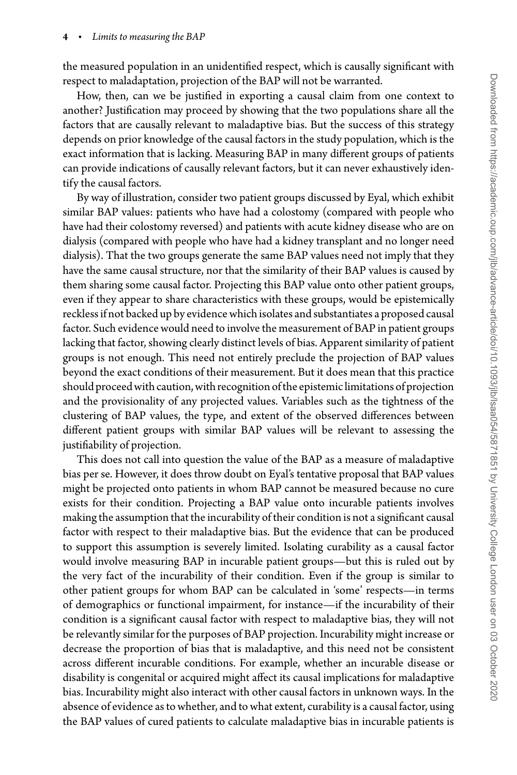the measured population in an unidentified respect, which is causally significant with respect to maladaptation, projection of the BAP will not be warranted.

How, then, can we be justified in exporting a causal claim from one context to another? Justification may proceed by showing that the two populations share all the factors that are causally relevant to maladaptive bias. But the success of this strategy depends on prior knowledge of the causal factors in the study population, which is the exact information that is lacking. Measuring BAP in many different groups of patients can provide indications of causally relevant factors, but it can never exhaustively identify the causal factors.

By way of illustration, consider two patient groups discussed by Eyal, which exhibit similar BAP values: patients who have had a colostomy (compared with people who have had their colostomy reversed) and patients with acute kidney disease who are on dialysis (compared with people who have had a kidney transplant and no longer need dialysis). That the two groups generate the same BAP values need not imply that they have the same causal structure, nor that the similarity of their BAP values is caused by them sharing some causal factor. Projecting this BAP value onto other patient groups, even if they appear to share characteristics with these groups, would be epistemically reckless if not backed up by evidence which isolates and substantiates a proposed causal factor. Such evidence would need to involve the measurement of BAP in patient groups lacking that factor, showing clearly distinct levels of bias. Apparent similarity of patient groups is not enough. This need not entirely preclude the projection of BAP values beyond the exact conditions of their measurement. But it does mean that this practice should proceed with caution, with recognition of the epistemic limitations of projection and the provisionality of any projected values. Variables such as the tightness of the clustering of BAP values, the type, and extent of the observed differences between different patient groups with similar BAP values will be relevant to assessing the justifiability of projection.

This does not call into question the value of the BAP as a measure of maladaptive bias per se. However, it does throw doubt on Eyal's tentative proposal that BAP values might be projected onto patients in whom BAP cannot be measured because no cure exists for their condition. Projecting a BAP value onto incurable patients involves making the assumption that the incurability of their condition is not a significant causal factor with respect to their maladaptive bias. But the evidence that can be produced to support this assumption is severely limited. Isolating curability as a causal factor would involve measuring BAP in incurable patient groups—but this is ruled out by the very fact of the incurability of their condition. Even if the group is similar to other patient groups for whom BAP can be calculated in 'some' respects—in terms of demographics or functional impairment, for instance—if the incurability of their condition is a significant causal factor with respect to maladaptive bias, they will not be relevantly similar for the purposes of BAP projection. Incurability might increase or decrease the proportion of bias that is maladaptive, and this need not be consistent across different incurable conditions. For example, whether an incurable disease or disability is congenital or acquired might affect its causal implications for maladaptive bias. Incurability might also interact with other causal factors in unknown ways. In the absence of evidence as to whether, and to what extent, curability is a causal factor, using the BAP values of cured patients to calculate maladaptive bias in incurable patients is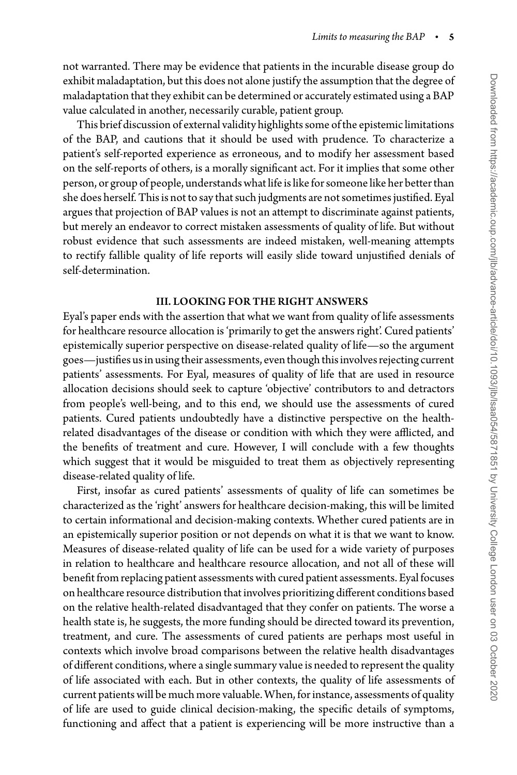not warranted. There may be evidence that patients in the incurable disease group do exhibit maladaptation, but this does not alone justify the assumption that the degree of maladaptation that they exhibit can be determined or accurately estimated using a BAP value calculated in another, necessarily curable, patient group.

This brief discussion of external validity highlights some ofthe epistemic limitations of the BAP, and cautions that it should be used with prudence. To characterize a patient's self-reported experience as erroneous, and to modify her assessment based on the self-reports of others, is a morally significant act. For it implies that some other person, or group of people, understands what life is like for someone like her betterthan she does herself. This is not to say that such judgments are not sometimes justified. Eyal argues that projection of BAP values is not an attempt to discriminate against patients, but merely an endeavor to correct mistaken assessments of quality of life. But without robust evidence that such assessments are indeed mistaken, well-meaning attempts to rectify fallible quality of life reports will easily slide toward unjustified denials of self-determination.

## III. LOOKING FOR THE RIGHT ANSWERS

Eyal's paper ends with the assertion that what we want from quality of life assessments for healthcare resource allocation is 'primarily to get the answers right'. Cured patients' epistemically superior perspective on disease-related quality of life—so the argument goes—justifies us in using their assessments, even though this involves rejecting current patients' assessments. For Eyal, measures of quality of life that are used in resource allocation decisions should seek to capture 'objective' contributors to and detractors from people's well-being, and to this end, we should use the assessments of cured patients. Cured patients undoubtedly have a distinctive perspective on the healthrelated disadvantages of the disease or condition with which they were afflicted, and the benefits of treatment and cure. However, I will conclude with a few thoughts which suggest that it would be misguided to treat them as objectively representing disease-related quality of life.

First, insofar as cured patients' assessments of quality of life can sometimes be characterized as the 'right' answers for healthcare decision-making, this will be limited to certain informational and decision-making contexts. Whether cured patients are in an epistemically superior position or not depends on what it is that we want to know. Measures of disease-related quality of life can be used for a wide variety of purposes in relation to healthcare and healthcare resource allocation, and not all of these will benefit from replacing patient assessments with cured patient assessments. Eyal focuses on healthcare resource distribution that involves prioritizing different conditions based on the relative health-related disadvantaged that they confer on patients. The worse a health state is, he suggests, the more funding should be directed toward its prevention, treatment, and cure. The assessments of cured patients are perhaps most useful in contexts which involve broad comparisons between the relative health disadvantages of different conditions, where a single summary value is needed to represent the quality of life associated with each. But in other contexts, the quality of life assessments of current patients will be much more valuable. When, for instance, assessments of quality of life are used to guide clinical decision-making, the specific details of symptoms, functioning and affect that a patient is experiencing will be more instructive than a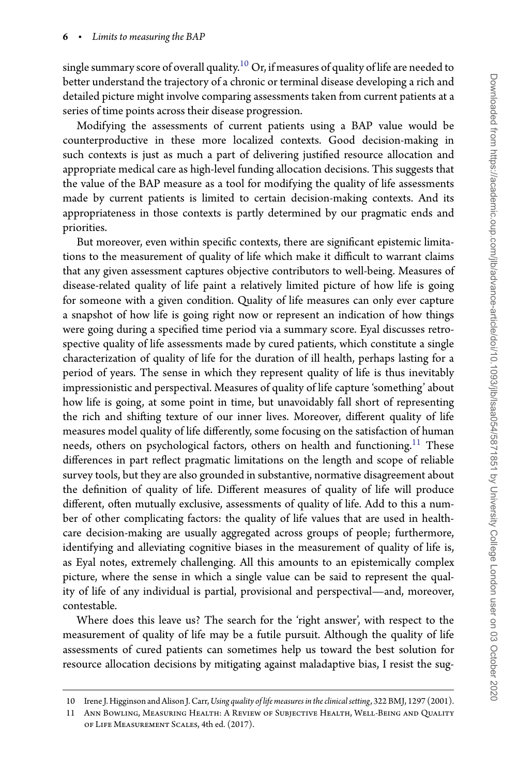single summary score of overall quality.<sup>[10](#page-5-0)</sup> Or, if measures of quality of life are needed to better understand the trajectory of a chronic or terminal disease developing a rich and detailed picture might involve comparing assessments taken from current patients at a series of time points across their disease progression.

Modifying the assessments of current patients using a BAP value would be counterproductive in these more localized contexts. Good decision-making in such contexts is just as much a part of delivering justified resource allocation and appropriate medical care as high-level funding allocation decisions. This suggests that the value of the BAP measure as a tool for modifying the quality of life assessments made by current patients is limited to certain decision-making contexts. And its appropriateness in those contexts is partly determined by our pragmatic ends and priorities.

But moreover, even within specific contexts, there are significant epistemic limitations to the measurement of quality of life which make it difficult to warrant claims that any given assessment captures objective contributors to well-being. Measures of disease-related quality of life paint a relatively limited picture of how life is going for someone with a given condition. Quality of life measures can only ever capture a snapshot of how life is going right now or represent an indication of how things were going during a specified time period via a summary score. Eyal discusses retrospective quality of life assessments made by cured patients, which constitute a single characterization of quality of life for the duration of ill health, perhaps lasting for a period of years. The sense in which they represent quality of life is thus inevitably impressionistic and perspectival. Measures of quality of life capture 'something' about how life is going, at some point in time, but unavoidably fall short of representing the rich and shifting texture of our inner lives. Moreover, different quality of life measures model quality of life differently, some focusing on the satisfaction of human needs, others on psychological factors, others on health and functioning.<sup>11</sup> These differences in part reflect pragmatic limitations on the length and scope of reliable survey tools, but they are also grounded in substantive, normative disagreement about the definition of quality of life. Different measures of quality of life will produce different, often mutually exclusive, assessments of quality of life. Add to this a number of other complicating factors: the quality of life values that are used in healthcare decision-making are usually aggregated across groups of people; furthermore, identifying and alleviating cognitive biases in the measurement of quality of life is, as Eyal notes, extremely challenging. All this amounts to an epistemically complex picture, where the sense in which a single value can be said to represent the quality of life of any individual is partial, provisional and perspectival—and, moreover, contestable.

Where does this leave us? The search for the 'right answer', with respect to the measurement of quality of life may be a futile pursuit. Although the quality of life assessments of cured patients can sometimes help us toward the best solution for resource allocation decisions by mitigating against maladaptive bias, I resist the sug-

<sup>10</sup> Irene J. Higginson and Alison J. Carr,*Using quality of life measures in the clinical setting*, 322 BMJ, 1297 (2001).

<span id="page-5-1"></span><span id="page-5-0"></span><sup>11</sup> Ann Bowling, Measuring Health: A Review of Subjective Health, Well-Being and Quality of Life Measurement Scales, 4th ed. (2017).